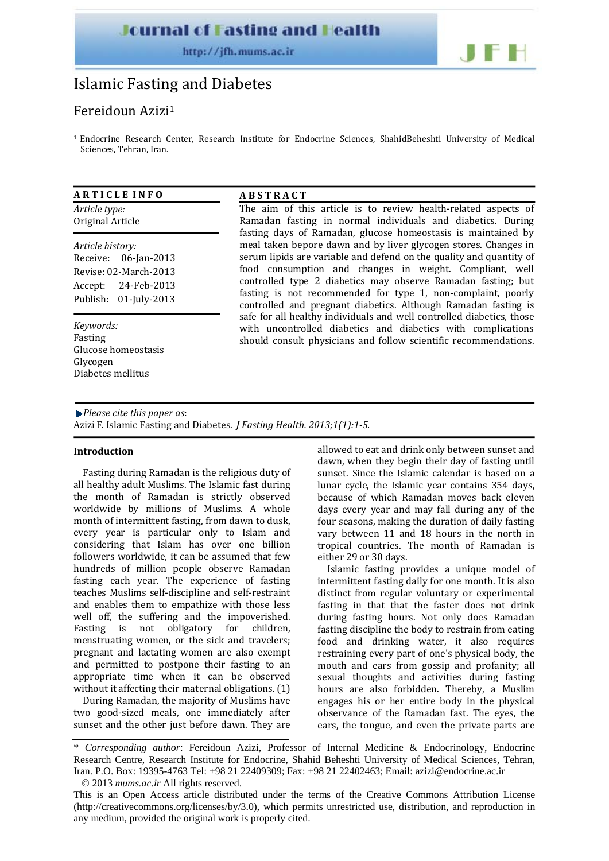## **Journal of Fasting and Health**

http://ifh.mums.ac.ir

# $\blacksquare$

# Islamic Fasting and Diabetes

### Fereidoun Azizi1

<sup>1</sup> Endocrine Research Center, Research Institute for Endocrine Sciences, ShahidBeheshti University of Medical Sciences, Tehran, Iran.

#### **A R T I C L E I N F O**

*Article type:* Original Article

*Article history:* Receive: 06‐Jan‐2013 Revise: 02‐March‐2013 Accept: 24‐Feb‐2013 Publish: 01‐July‐2013

*Keywords:* Fasting Glucose homeostasis Glycogen Diabetes mellitus

#### **A B S T R A C T**

The aim of this article is to review health-related aspects of Ramadan fasting in normal individuals and diabetics. During fasting days of Ramadan, glucose homeostasis is maintained by meal taken bepore dawn and by liver glycogen stores. Changes in serum lipids are variable and defend on the quality and quantity of food consumption and changes in weight. Compliant, well controlled type 2 diabetics may observe Ramadan fasting; but fasting is not recommended for type 1, non-complaint, poorly controlled and pregnant diabetics. Although Ramadan fasting is safe for all healthy individuals and well controlled diabetics, those with uncontrolled diabetics and diabetics with complications should consult physicians and follow scientific recommendations.

#### *Please cite this paper as*: Azizi F. Islamic Fasting and Diabetes. *J Fasting Health. 2013;1(1):15.*

#### **Introduction**

Fasting during Ramadan is the religious duty of all healthy adult Muslims. The Islamic fast during the month of Ramadan is strictly observed worldwide by millions of Muslims. A whole month of intermittent fasting, from dawn to dusk, every year is particular only to Islam and considering that Islam has over one billion followers worldwide, it can be assumed that few hundreds of million people observe Ramadan fasting each year. The experience of fasting teaches Muslims self‐discipline and self‐restraint and enables them to empathize with those less well off, the suffering and the impoverished. Fasting is not obligatory for children, menstruating women, or the sick and travelers; pregnant and lactating women are also exempt and permitted to postpone their fasting to an appropriate time when it can be observed without it affecting their maternal obligations. (1)

During Ramadan, the majority of Muslims have two good‐sized meals, one immediately after sunset and the other just before dawn. They are allowed to eat and drink only between sunset and dawn, when they begin their day of fasting until sunset. Since the Islamic calendar is based on a lunar cycle, the Islamic year contains 354 days, because of which Ramadan moves back eleven days every year and may fall during any of the four seasons, making the duration of daily fasting vary between 11 and 18 hours in the north in tropical countries. The month of Ramadan is either 29 or 30 days.

Islamic fasting provides a unique model of intermittent fasting daily for one month. It is also distinct from regular voluntary or experimental fasting in that that the faster does not drink during fasting hours. Not only does Ramadan fasting discipline the body to restrain from eating food and drinking water, it also requires restraining every part of one's physical body, the mouth and ears from gossip and profanity; all sexual thoughts and activities during fasting hours are also forbidden. Thereby, a Muslim engages his or her entire body in the physical observance of the Ramadan fast. The eyes, the ears, the tongue, and even the private parts are

<sup>\*</sup> *Corresponding author*: Fereidoun Azizi, Professor of Internal Medicine & Endocrinology, Endocrine Research Centre, Research Institute for Endocrine, Shahid Beheshti University of Medical Sciences, Tehran, Iran. P.O. Box: 19395-4763 Tel: +98 21 22409309; Fax: +98 21 22402463; Email: azizi@endocrine.ac.ir

<sup>© 2013</sup> *mums.ac.ir* All rights reserved.

This is an Open Access article distributed under the terms of the Creative Commons Attribution License (http://creativecommons.org/licenses/by/3.0), which permits unrestricted use, distribution, and reproduction in any medium, provided the original work is properly cited.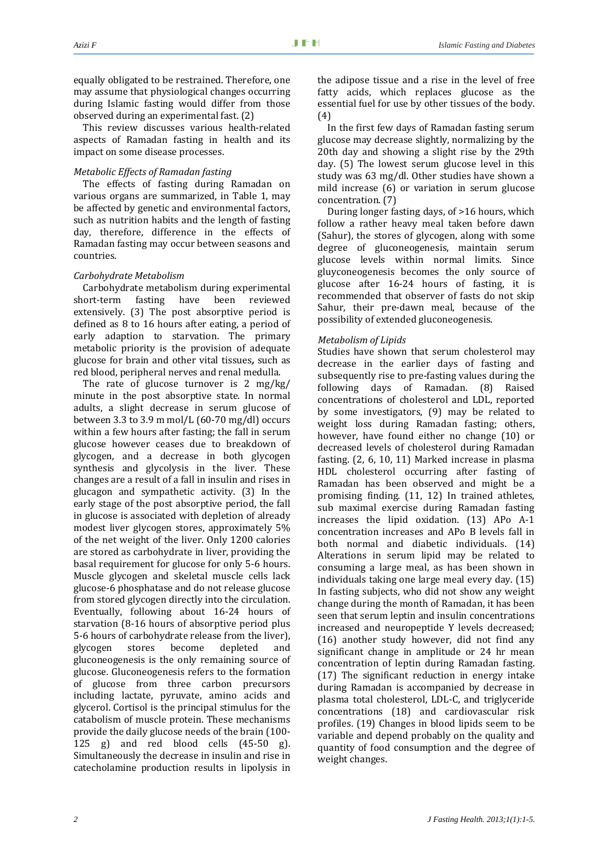This review discusses various health‐related aspects of Ramadan fasting in health and its impact on some disease processes.

#### *Metabolic Effects of Ramadan fasting*

The effects of fasting during Ramadan on various organs are summarized, in Table 1, may be affected by genetic and environmental factors, such as nutrition habits and the length of fasting day, therefore, difference in the effects of Ramadan fasting may occur between seasons and countries.

#### *Carbohydrate Metabolism*

Carbohydrate metabolism during experimental short‐term fasting have been reviewed extensively. (3) The post absorptive period is defined as 8 to 16 hours after eating, a period of early adaption to starvation. The primary metabolic priority is the provision of adequate glucose for brain and other vital tissues*,* such as red blood, peripheral nerves and renal medulla.

The rate of glucose turnover is  $2 \text{ mg/kg}$ minute in the post absorptive state. In normal adults, a slight decrease in serum glucose of between 3.3 to 3.9 m mol/L (60‐70 mg/dl) occurs within a few hours after fasting; the fall in serum glucose however ceases due to breakdown of glycogen, and a decrease in both glycogen synthesis and glycolysis in the liver. These changes are a result of a fall in insulin and rises in glucagon and sympathetic activity. (3) In the early stage of the post absorptive period, the fall in glucose is associated with depletion of already modest liver glycogen stores, approximately 5% of the net weight of the liver. Only 1200 calories are stored as carbohydrate in liver, providing the basal requirement for glucose for only 5‐6 hours. Muscle glycogen and skeletal muscle cells lack glucose‐6 phosphatase and do not release glucose from stored glycogen directly into the circulation. Eventually, following about 16‐24 hours of starvation (8-16 hours of absorptive period plus 5‐6 hours of carbohydrate release from the liver), glycogen stores become depleted and gluconeogenesis is the only remaining source of glucose. Gluconeogenesis refers to the formation of glucose from three carbon precursors including lactate, pyruvate, amino acids and glycerol. Cortisol is the principal stimulus for the catabolism of muscle protein. These mechanisms provide the daily glucose needs of the brain (100‐ 125 g) and red blood cells (45‐50 g). Simultaneously the decrease in insulin and rise in catecholamine production results in lipolysis in

the adipose tissue and a rise in the level of free fatty acids, which replaces glucose as the essential fuel for use by other tissues of the body. (4)

In the first few days of Ramadan fasting serum glucose may decrease slightly, normalizing by the 20th day and showing a slight rise by the 29th day. (5) The lowest serum glucose level in this study was 63 mg/dl. Other studies have shown a mild increase (6) or variation in serum glucose concentration. (7)

During longer fasting days, of >16 hours, which follow a rather heavy meal taken before dawn (Sahur), the stores of glycogen, along with some degree of gluconeogenesis, maintain serum glucose levels within normal limits. Since gluyconeogenesis becomes the only source of glucose after 16‐24 hours of fasting, it is recommended that observer of fasts do not skip Sahur, their pre-dawn meal, because of the possibility of extended gluconeogenesis.

#### *Metabolism of Lipids*

Studies have shown that serum cholesterol may decrease in the earlier days of fasting and subsequently rise to pre-fasting values during the following days of Ramadan. (8) Raised concentrations of cholesterol and LDL, reported by some investigators, (9) may be related to weight loss during Ramadan fasting; others, however, have found either no change (10) or decreased levels of cholesterol during Ramadan fasting. (2, 6, 10, 11) Marked increase in plasma HDL cholesterol occurring after fasting of Ramadan has been observed and might be a promising finding. (11, 12) In trained athletes, sub maximal exercise during Ramadan fasting increases the lipid oxidation. (13) APo A‐1 concentration increases and APo B levels fall in both normal and diabetic individuals. (14) Alterations in serum lipid may be related to consuming a large meal, as has been shown in individuals taking one large meal every day. (15) In fasting subjects, who did not show any weight change during the month of Ramadan, it has been seen that serum leptin and insulin concentrations increased and neuropeptide Y levels decreased; (16) another study however, did not find any significant change in amplitude or 24 hr mean concentration of leptin during Ramadan fasting. (17) The significant reduction in energy intake during Ramadan is accompanied by decrease in plasma total cholesterol, LDL‐C, and triglyceride concentrations (18) and cardiovascular risk profiles. (19) Changes in blood lipids seem to be variable and depend probably on the quality and quantity of food consumption and the degree of weight changes.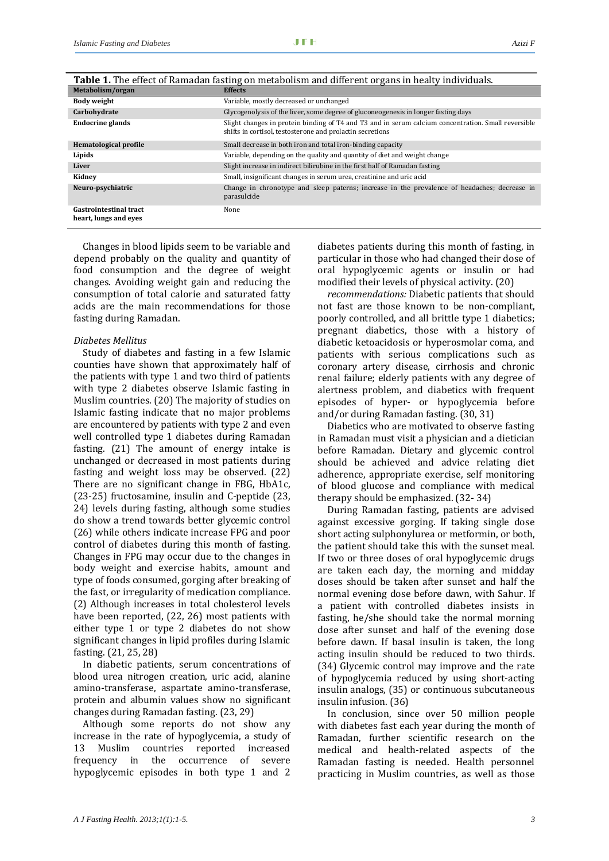| Metabolism/organ                                       | <b>Effects</b>                                                                                                                                                   |
|--------------------------------------------------------|------------------------------------------------------------------------------------------------------------------------------------------------------------------|
| Body weight                                            | Variable, mostly decreased or unchanged                                                                                                                          |
| Carbohydrate                                           | Glycogenolysis of the liver, some degree of gluconeogenesis in longer fasting days                                                                               |
| <b>Endocrine glands</b>                                | Slight changes in protein binding of T4 and T3 and in serum calcium concentration. Small reversible<br>shifts in cortisol, testosterone and prolactin secretions |
| Hematological profile                                  | Small decrease in both iron and total iron-binding capacity                                                                                                      |
| Lipids                                                 | Variable, depending on the quality and quantity of diet and weight change                                                                                        |
| Liver                                                  | Slight increase in indirect bilirubine in the first half of Ramadan fasting                                                                                      |
| Kidney                                                 | Small, insignificant changes in serum urea, creatinine and uric acid                                                                                             |
| Neuro-psychiatric                                      | Change in chronotype and sleep paterns; increase in the prevalence of headaches; decrease in<br>parasulcide                                                      |
| <b>Gastrointestinal tract</b><br>heart, lungs and eyes | None                                                                                                                                                             |

| Table 1. The effect of Ramadan fasting on metabolism and different organs in healty individuals. |
|--------------------------------------------------------------------------------------------------|
|--------------------------------------------------------------------------------------------------|

Changes in blood lipids seem to be variable and depend probably on the quality and quantity of food consumption and the degree of weight changes. Avoiding weight gain and reducing the consumption of total calorie and saturated fatty acids are the main recommendations for those fasting during Ramadan.

#### *Diabetes Mellitus*

Study of diabetes and fasting in a few Islamic counties have shown that approximately half of the patients with type 1 and two third of patients with type 2 diabetes observe Islamic fasting in Muslim countries. (20) The majority of studies on Islamic fasting indicate that no major problems are encountered by patients with type 2 and even well controlled type 1 diabetes during Ramadan fasting. (21) The amount of energy intake is unchanged or decreased in most patients during fasting and weight loss may be observed. (22) There are no significant change in FBG, HbA1c, (23‐25) fructosamine, insulin and C‐peptide (23, 24) levels during fasting, although some studies do show a trend towards better glycemic control (26) while others indicate increase FPG and poor control of diabetes during this month of fasting. Changes in FPG may occur due to the changes in body weight and exercise habits, amount and type of foods consumed, gorging after breaking of the fast, or irregularity of medication compliance. (2) Although increases in total cholesterol levels have been reported,  $(22, 26)$  most patients with either type 1 or type 2 diabetes do not show significant changes in lipid profiles during Islamic fasting. (21, 25, 28)

In diabetic patients, serum concentrations of blood urea nitrogen creation, uric acid, alanine amino‐transferase, aspartate amino‐transferase, protein and albumin values show no significant changes during Ramadan fasting. (23, 29)

Although some reports do not show any increase in the rate of hypoglycemia, a study of 13 Muslim countries reported increased frequency in the occurrence of severe hypoglycemic episodes in both type 1 and 2 diabetes patients during this month of fasting, in particular in those who had changed their dose of oral hypoglycemic agents or insulin or had modified their levels of physical activity. (20)

*recommendations:* Diabetic patients that should not fast are those known to be non‐compliant, poorly controlled, and all brittle type 1 diabetics; pregnant diabetics, those with a history of diabetic ketoacidosis or hyperosmolar coma, and patients with serious complications such as coronary artery disease, cirrhosis and chronic renal failure; elderly patients with any degree of alertness problem, and diabetics with frequent episodes of hyper‐ or hypoglycemia before and/or during Ramadan fasting. (30, 31)

Diabetics who are motivated to observe fasting in Ramadan must visit a physician and a dietician before Ramadan. Dietary and glycemic control should be achieved and advice relating diet adherence, appropriate exercise, self monitoring of blood glucose and compliance with medical therapy should be emphasized. (32‐ 34)

During Ramadan fasting, patients are advised against excessive gorging. If taking single dose short acting sulphonylurea or metformin, or both, the patient should take this with the sunset meal. If two or three doses of oral hypoglycemic drugs are taken each day, the morning and midday doses should be taken after sunset and half the normal evening dose before dawn, with Sahur. If a patient with controlled diabetes insists in fasting, he/she should take the normal morning dose after sunset and half of the evening dose before dawn. If basal insulin is taken, the long acting insulin should be reduced to two thirds. (34) Glycemic control may improve and the rate of hypoglycemia reduced by using short‐acting insulin analogs, (35) or continuous subcutaneous insulin infusion. (36)

In conclusion, since over 50 million people with diabetes fast each year during the month of Ramadan, further scientific research on the medical and health-related aspects of the Ramadan fasting is needed. Health personnel practicing in Muslim countries, as well as those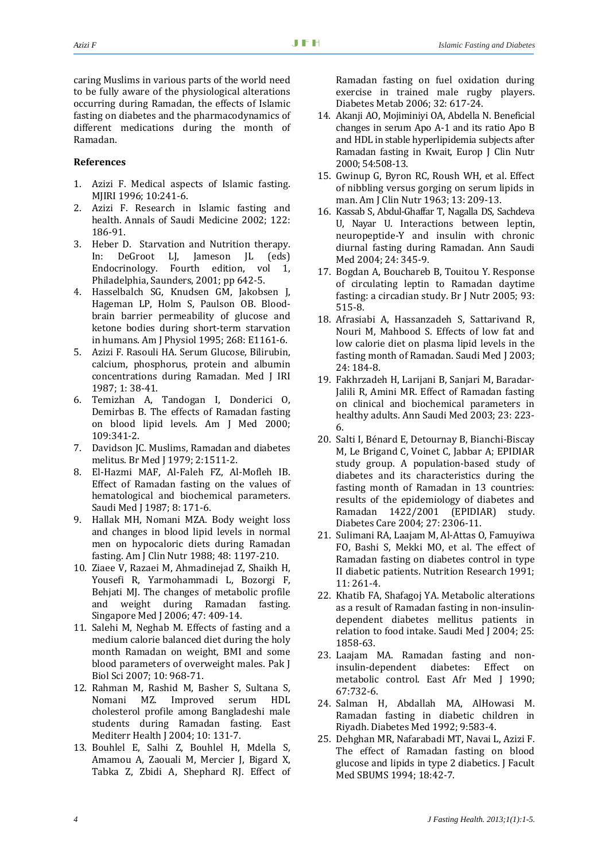caring Muslims in various parts of the world need to be fully aware of the physiological alterations occurring during Ramadan, the effects of Islamic fasting on diabetes and the pharmacodynamics of different medications during the month of Ramadan.

#### **References**

- 1. Azizi F. Medical aspects of Islamic fasting. MJIRI 1996; 10:241‐6.
- 2. Azizi F. Research in Islamic fasting and health. Annals of Saudi Medicine 2002; 122: 186‐91.
- 3. Heber D. Starvation and Nutrition therapy. In: DeGroot LJ, Jameson JL (eds) Endocrinology. Fourth edition, vol 1, Philadelphia, Saunders, 2001; pp 642‐5.
- 4. Hasselbalch SG, Knudsen GM, Jakobsen J, Hageman LP, Holm S, Paulson OB. Blood‐ brain barrier permeability of glucose and ketone bodies during short‐term starvation in humans. Am J Physiol 1995; 268: E1161‐6.
- 5. Azizi F. Rasouli HA. Serum Glucose, Bilirubin, calcium, phosphorus, protein and albumin concentrations during Ramadan. Med J IRI 1987; 1: 38‐41.
- 6. Temizhan A, Tandogan I, Donderici O, Demirbas B. The effects of Ramadan fasting on blood lipid levels. Am J Med 2000; 109:341‐2.
- 7. Davidson JC. Muslims, Ramadan and diabetes melitus. Br Med J 1979; 2:1511‐2.
- 8. El‐Hazmi MAF, Al‐Faleh FZ, Al‐Mofleh IB. Effect of Ramadan fasting on the values of hematological and biochemical parameters. Saudi Med J 1987; 8: 171‐6.
- 9. Hallak MH, Nomani MZA. Body weight loss and changes in blood lipid levels in normal men on hypocaloric diets during Ramadan fasting. Am J Clin Nutr 1988; 48: 1197‐210.
- 10. Ziaee V, Razaei M, Ahmadinejad Z, Shaikh H, Yousefi R, Yarmohammadi L, Bozorgi F, Behjati MJ. The changes of metabolic profile and weight during Ramadan fasting. Singapore Med J 2006; 47: 409‐14.
- 11. Salehi M, Neghab M. Effects of fasting and a medium calorie balanced diet during the holy month Ramadan on weight, BMI and some blood parameters of overweight males. Pak J Biol Sci 2007; 10: 968‐71.
- 12. Rahman M, Rashid M, Basher S, Sultana S, Nomani MZ. Improved serum HDL cholesterol profile among Bangladeshi male students during Ramadan fasting. East Mediterr Health J 2004; 10: 131‐7.
- 13. Bouhlel E, Salhi Z, Bouhlel H, Mdella S, Amamou A, Zaouali M, Mercier J, Bigard X, Tabka Z, Zbidi A, Shephard RJ. Effect of

Ramadan fasting on fuel oxidation during exercise in trained male rugby players. Diabetes Metab 2006; 32: 617‐24.

- 14. Akanji AO, Mojiminiyi OA, Abdella N. Beneficial changes in serum Apo A‐1 and its ratio Apo B and HDL in stable hyperlipidemia subjects after Ramadan fasting in Kwait, Europ J Clin Nutr 2000; 54:508‐13.
- 15. Gwinup G, Byron RC, Roush WH, et al. Effect of nibbling versus gorging on serum lipids in man. Am J Clin Nutr 1963; 13: 209‐13.
- 16. Kassab S, Abdul‐Ghaffar T, Nagalla DS, Sachdeva U, Nayar U. Interactions between leptin, neuropeptide‐Y and insulin with chronic diurnal fasting during Ramadan. Ann Saudi Med 2004; 24: 345‐9.
- 17. Bogdan A, Bouchareb B, Touitou Y. Response of circulating leptin to Ramadan daytime fasting: a circadian study. Br J Nutr 2005; 93: 515‐8.
- 18. Afrasiabi A, Hassanzadeh S, Sattarivand R, Nouri M, Mahbood S. Effects of low fat and low calorie diet on plasma lipid levels in the fasting month of Ramadan. Saudi Med I 2003: 24: 184‐8.
- 19. Fakhrzadeh H, Larijani B, Sanjari M, Baradar‐ Jalili R, Amini MR. Effect of Ramadan fasting on clinical and biochemical parameters in healthy adults. Ann Saudi Med 2003; 23: 223‐ 6.
- 20. Salti I, Bénard E, Detournay B, Bianchi‐Biscay M, Le Brigand C, Voinet C, Jabbar A; EPIDIAR study group. A population‐based study of diabetes and its characteristics during the fasting month of Ramadan in 13 countries: results of the epidemiology of diabetes and Ramadan 1422/2001 (EPIDIAR) study. Diabetes Care 2004; 27: 2306‐11.
- 21. Sulimani RA, Laajam M, Al‐Attas O, Famuyiwa FO, Bashi S, Mekki MO, et al. The effect of Ramadan fasting on diabetes control in type II diabetic patients. Nutrition Research 1991; 11: 261‐4.
- 22. Khatib FA, Shafagoj YA. Metabolic alterations as a result of Ramadan fasting in non‐insulin‐ dependent diabetes mellitus patients in relation to food intake. Saudi Med J 2004; 25: 1858‐63.
- 23. Laajam MA. Ramadan fasting and non‐ insulin‐dependent diabetes: Effect on metabolic control. East Afr Med J 1990; 67:732‐6.
- 24. Salman H, Abdallah MA, AlHowasi M. Ramadan fasting in diabetic children in Riyadh. Diabetes Med 1992; 9:583‐4.
- 25. Dehghan MR, Nafarabadi MT, Navai L, Azizi F. The effect of Ramadan fasting on blood glucose and lipids in type 2 diabetics. J Facult Med SBUMS 1994; 18:42‐7.